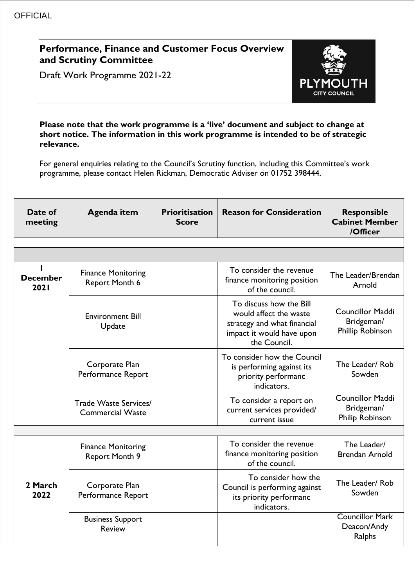# **Performance, Finance and Customer Focus Overview and Scrutiny Committee**

Draft Work Programme 2021-22



### **Please note that the work programme is a 'live' document and subject to change at short notice. The information in this work programme is intended to be of strategic relevance.**

For general enquiries relating to the Council's Scrutiny function, including this Committee's work programme, please contact Helen Rickman, Democratic Adviser on 01752 398444.

| Date of<br>meeting      | <b>Agenda item</b>                                 | <b>Prioritisation</b><br><b>Score</b> | <b>Reason for Consideration</b>                                                                                               | <b>Responsible</b><br><b>Cabinet Member</b><br>/Officer          |
|-------------------------|----------------------------------------------------|---------------------------------------|-------------------------------------------------------------------------------------------------------------------------------|------------------------------------------------------------------|
|                         |                                                    |                                       |                                                                                                                               |                                                                  |
|                         |                                                    |                                       |                                                                                                                               |                                                                  |
| <b>December</b><br>2021 | <b>Finance Monitoring</b><br><b>Report Month 6</b> |                                       | To consider the revenue<br>finance monitoring position<br>of the council.                                                     | The Leader/Brendan<br>Arnold                                     |
|                         | <b>Environment Bill</b><br>Update                  |                                       | To discuss how the Bill<br>would affect the waste<br>strategy and what financial<br>impact it would have upon<br>the Council. | <b>Councillor Maddi</b><br>Bridgeman/<br><b>Phillip Robinson</b> |
|                         | Corporate Plan<br>Performance Report               |                                       | To consider how the Council<br>is performing against its<br>priority performanc<br>indicators.                                | The Leader/Rob<br>Sowden                                         |
|                         | Trade Waste Services/<br><b>Commercial Waste</b>   |                                       | To consider a report on<br>current services provided/<br>current issue                                                        | <b>Councillor Maddi</b><br>Bridgeman/<br>Philip Robinson         |
|                         |                                                    |                                       |                                                                                                                               |                                                                  |
| 2 March<br>2022         | <b>Finance Monitoring</b><br><b>Report Month 9</b> |                                       | To consider the revenue<br>finance monitoring position<br>of the council.                                                     | The Leader/<br><b>Brendan Arnold</b>                             |
|                         | Corporate Plan<br>Performance Report               |                                       | To consider how the<br>Council is performing against<br>its priority performanc<br>indicators.                                | The Leader/Rob<br>Sowden                                         |
|                         | <b>Business Support</b><br><b>Review</b>           |                                       |                                                                                                                               | <b>Councillor Mark</b><br>Deacon/Andy<br>Ralphs                  |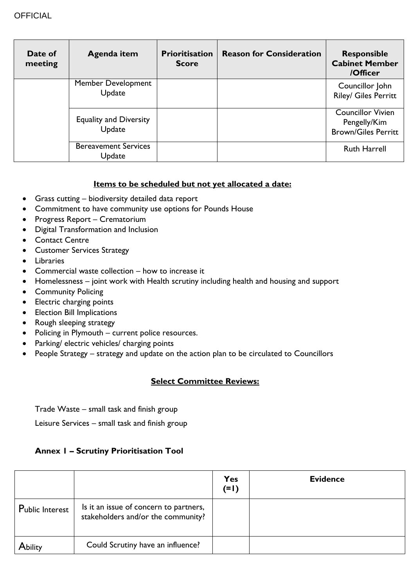| Date of<br>meeting | Agenda item                             | <b>Prioritisation</b><br><b>Score</b> | <b>Reason for Consideration</b> | <b>Responsible</b><br><b>Cabinet Member</b><br>/Officer                |
|--------------------|-----------------------------------------|---------------------------------------|---------------------------------|------------------------------------------------------------------------|
|                    | <b>Member Development</b><br>Update     |                                       |                                 | Councillor John<br>Riley/ Giles Perritt                                |
|                    | <b>Equality and Diversity</b><br>Update |                                       |                                 | <b>Councillor Vivien</b><br>Pengelly/Kim<br><b>Brown/Giles Perritt</b> |
|                    | <b>Bereavement Services</b><br>Update   |                                       |                                 | <b>Ruth Harrell</b>                                                    |

## **Items to be scheduled but not yet allocated a date:**

- Grass cutting biodiversity detailed data report
- Commitment to have community use options for Pounds House
- Progress Report Crematorium
- Digital Transformation and Inclusion
- Contact Centre
- **•** Customer Services Strategy
- **•** Libraries
- Commercial waste collection how to increase it
- Homelessness joint work with Health scrutiny including health and housing and support
- Community Policing
- Electric charging points
- **•** Election Bill Implications
- Rough sleeping strategy
- Policing in Plymouth current police resources.
- Parking/ electric vehicles/ charging points
- People Strategy strategy and update on the action plan to be circulated to Councillors

## **Select Committee Reviews:**

Trade Waste – small task and finish group

Leisure Services – small task and finish group

## **Annex 1 – Scrutiny Prioritisation Tool**

|                 |                                                                              | <b>Yes</b><br>$(=1)$ | <b>Evidence</b> |
|-----------------|------------------------------------------------------------------------------|----------------------|-----------------|
| Public Interest | Is it an issue of concern to partners,<br>stakeholders and/or the community? |                      |                 |
| Ability         | Could Scrutiny have an influence?                                            |                      |                 |